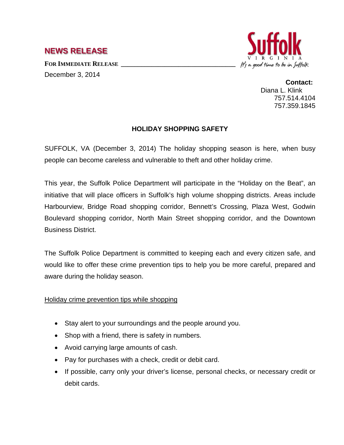## **NEWS RELEASE**

FOR **IMMEDIATE RELEASE** 

December 3, 2014



**Contact:** Diana L. Klink 757.514.4104 757.359.1845

## **HOLIDAY SHOPPING SAFETY**

SUFFOLK, VA (December 3, 2014) The holiday shopping season is here, when busy people can become careless and vulnerable to theft and other holiday crime.

This year, the Suffolk Police Department will participate in the "Holiday on the Beat", an initiative that will place officers in Suffolk's high volume shopping districts. Areas include Harbourview, Bridge Road shopping corridor, Bennett's Crossing, Plaza West, Godwin Boulevard shopping corridor, North Main Street shopping corridor, and the Downtown Business District.

The Suffolk Police Department is committed to keeping each and every citizen safe, and would like to offer these crime prevention tips to help you be more careful, prepared and aware during the holiday season.

Holiday crime prevention tips while shopping

- Stay alert to your surroundings and the people around you.
- Shop with a friend, there is safety in numbers.
- Avoid carrying large amounts of cash.
- Pay for purchases with a check, credit or debit card.
- If possible, carry only your driver's license, personal checks, or necessary credit or debit cards.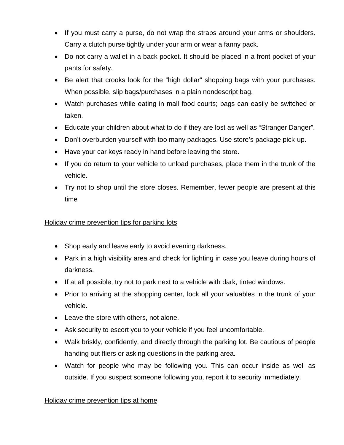- If you must carry a purse, do not wrap the straps around your arms or shoulders. Carry a clutch purse tightly under your arm or wear a fanny pack.
- Do not carry a wallet in a back pocket. It should be placed in a front pocket of your pants for safety.
- Be alert that crooks look for the "high dollar" shopping bags with your purchases. When possible, slip bags/purchases in a plain nondescript bag.
- Watch purchases while eating in mall food courts; bags can easily be switched or taken.
- Educate your children about what to do if they are lost as well as "Stranger Danger".
- Don't overburden yourself with too many packages. Use store's package pick-up.
- Have your car keys ready in hand before leaving the store.
- If you do return to your vehicle to unload purchases, place them in the trunk of the vehicle.
- Try not to shop until the store closes. Remember, fewer people are present at this time

## Holiday crime prevention tips for parking lots

- Shop early and leave early to avoid evening darkness.
- Park in a high visibility area and check for lighting in case you leave during hours of darkness.
- If at all possible, try not to park next to a vehicle with dark, tinted windows.
- Prior to arriving at the shopping center, lock all your valuables in the trunk of your vehicle.
- Leave the store with others, not alone.
- Ask security to escort you to your vehicle if you feel uncomfortable.
- Walk briskly, confidently, and directly through the parking lot. Be cautious of people handing out fliers or asking questions in the parking area.
- Watch for people who may be following you. This can occur inside as well as outside. If you suspect someone following you, report it to security immediately.

## Holiday crime prevention tips at home